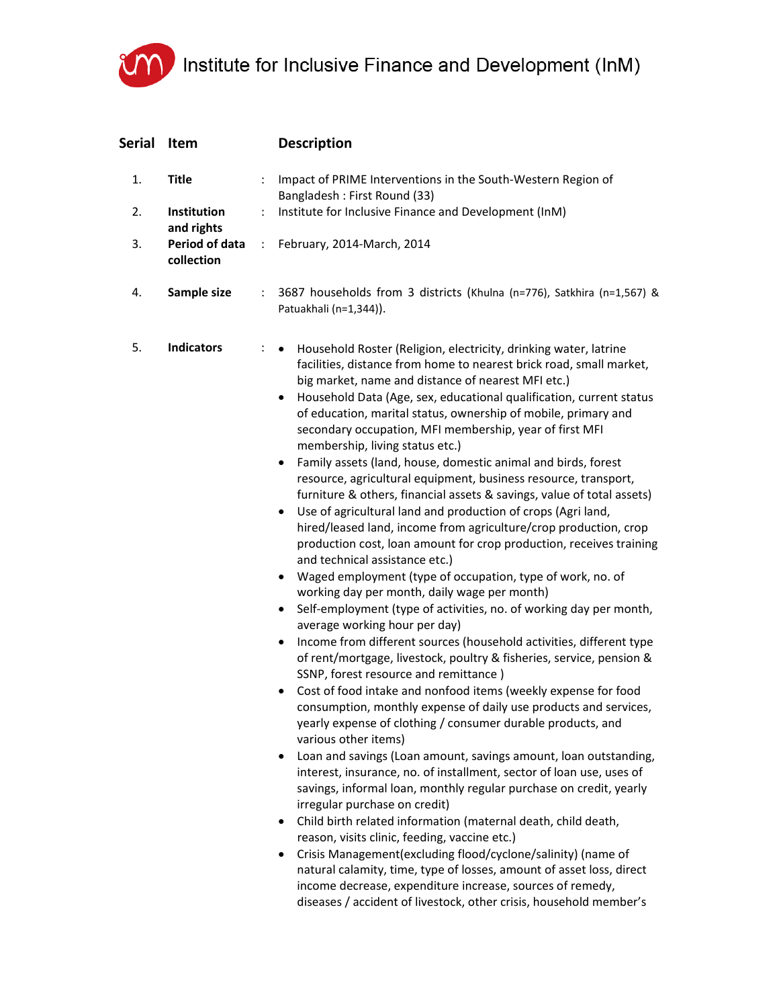## UM Institute for Inclusive Finance and Development (InM)

| Serial | Item                         |                      | <b>Description</b>                                                                                                                                                                                                                                                                                                                                                                                                                                                                                                                                                                                                                                                                                                                                                                                                                                                                                                                                                                                                                                                                                                                                                                                                                                                                                                                                                                                                                                                                                                                                                                                                                                                                                                                                                                                                                                                                                                                                                                                                                                                                                                                                                                                                                                                             |
|--------|------------------------------|----------------------|--------------------------------------------------------------------------------------------------------------------------------------------------------------------------------------------------------------------------------------------------------------------------------------------------------------------------------------------------------------------------------------------------------------------------------------------------------------------------------------------------------------------------------------------------------------------------------------------------------------------------------------------------------------------------------------------------------------------------------------------------------------------------------------------------------------------------------------------------------------------------------------------------------------------------------------------------------------------------------------------------------------------------------------------------------------------------------------------------------------------------------------------------------------------------------------------------------------------------------------------------------------------------------------------------------------------------------------------------------------------------------------------------------------------------------------------------------------------------------------------------------------------------------------------------------------------------------------------------------------------------------------------------------------------------------------------------------------------------------------------------------------------------------------------------------------------------------------------------------------------------------------------------------------------------------------------------------------------------------------------------------------------------------------------------------------------------------------------------------------------------------------------------------------------------------------------------------------------------------------------------------------------------------|
| 1.     | <b>Title</b>                 | ÷                    | Impact of PRIME Interventions in the South-Western Region of<br>Bangladesh: First Round (33)                                                                                                                                                                                                                                                                                                                                                                                                                                                                                                                                                                                                                                                                                                                                                                                                                                                                                                                                                                                                                                                                                                                                                                                                                                                                                                                                                                                                                                                                                                                                                                                                                                                                                                                                                                                                                                                                                                                                                                                                                                                                                                                                                                                   |
| 2.     | Institution<br>and rights    | ÷                    | Institute for Inclusive Finance and Development (InM)                                                                                                                                                                                                                                                                                                                                                                                                                                                                                                                                                                                                                                                                                                                                                                                                                                                                                                                                                                                                                                                                                                                                                                                                                                                                                                                                                                                                                                                                                                                                                                                                                                                                                                                                                                                                                                                                                                                                                                                                                                                                                                                                                                                                                          |
| 3.     | Period of data<br>collection | $\ddot{\phantom{a}}$ | February, 2014-March, 2014                                                                                                                                                                                                                                                                                                                                                                                                                                                                                                                                                                                                                                                                                                                                                                                                                                                                                                                                                                                                                                                                                                                                                                                                                                                                                                                                                                                                                                                                                                                                                                                                                                                                                                                                                                                                                                                                                                                                                                                                                                                                                                                                                                                                                                                     |
| 4.     | Sample size                  | ÷                    | 3687 households from 3 districts (Khulna (n=776), Satkhira (n=1,567) &<br>Patuakhali (n=1,344)).                                                                                                                                                                                                                                                                                                                                                                                                                                                                                                                                                                                                                                                                                                                                                                                                                                                                                                                                                                                                                                                                                                                                                                                                                                                                                                                                                                                                                                                                                                                                                                                                                                                                                                                                                                                                                                                                                                                                                                                                                                                                                                                                                                               |
| 5.     | <b>Indicators</b>            | ÷                    | Household Roster (Religion, electricity, drinking water, latrine<br>$\bullet$<br>facilities, distance from home to nearest brick road, small market,<br>big market, name and distance of nearest MFI etc.)<br>Household Data (Age, sex, educational qualification, current status<br>٠<br>of education, marital status, ownership of mobile, primary and<br>secondary occupation, MFI membership, year of first MFI<br>membership, living status etc.)<br>Family assets (land, house, domestic animal and birds, forest<br>$\bullet$<br>resource, agricultural equipment, business resource, transport,<br>furniture & others, financial assets & savings, value of total assets)<br>Use of agricultural land and production of crops (Agri land,<br>٠<br>hired/leased land, income from agriculture/crop production, crop<br>production cost, loan amount for crop production, receives training<br>and technical assistance etc.)<br>Waged employment (type of occupation, type of work, no. of<br>$\bullet$<br>working day per month, daily wage per month)<br>Self-employment (type of activities, no. of working day per month,<br>$\bullet$<br>average working hour per day)<br>Income from different sources (household activities, different type<br>$\bullet$<br>of rent/mortgage, livestock, poultry & fisheries, service, pension &<br>SSNP, forest resource and remittance)<br>Cost of food intake and nonfood items (weekly expense for food<br>consumption, monthly expense of daily use products and services,<br>yearly expense of clothing / consumer durable products, and<br>various other items)<br>Loan and savings (Loan amount, savings amount, loan outstanding,<br>interest, insurance, no. of installment, sector of loan use, uses of<br>savings, informal loan, monthly regular purchase on credit, yearly<br>irregular purchase on credit)<br>Child birth related information (maternal death, child death,<br>٠<br>reason, visits clinic, feeding, vaccine etc.)<br>Crisis Management(excluding flood/cyclone/salinity) (name of<br>٠<br>natural calamity, time, type of losses, amount of asset loss, direct<br>income decrease, expenditure increase, sources of remedy,<br>diseases / accident of livestock, other crisis, household member's |